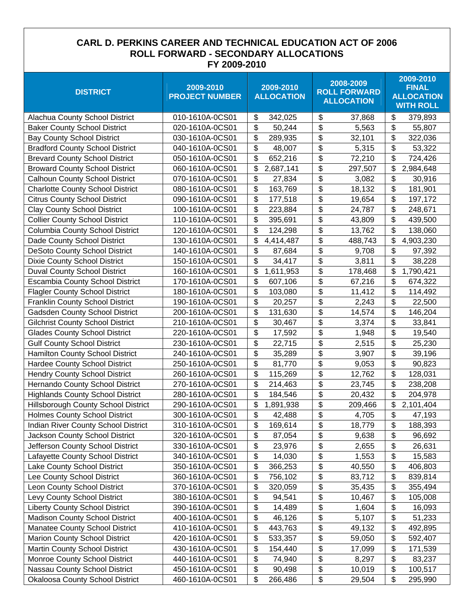## **CARL D. PERKINS CAREER AND TECHNICAL EDUCATION ACT OF 2006 ROLL FORWARD - SECONDARY ALLOCATIONS FY 2009-2010**

| <b>DISTRICT</b>                         | 2009-2010<br><b>PROJECT NUMBER</b> | 2009-2010<br><b>ALLOCATION</b>        | 2008-2009<br><b>ROLL FORWARD</b><br><b>ALLOCATION</b> | 2009-2010<br><b>FINAL</b><br><b>ALLOCATION</b><br><b>WITH ROLL</b> |
|-----------------------------------------|------------------------------------|---------------------------------------|-------------------------------------------------------|--------------------------------------------------------------------|
| Alachua County School District          | 010-1610A-0CS01                    | \$<br>342,025                         | \$<br>37,868                                          | \$<br>379,893                                                      |
| <b>Baker County School District</b>     | 020-1610A-0CS01                    | $\boldsymbol{\mathsf{S}}$<br>50,244   | \$<br>5,563                                           | \$<br>55,807                                                       |
| <b>Bay County School District</b>       | 030-1610A-0CS01                    | $\boldsymbol{\mathsf{S}}$<br>289,935  | \$<br>32,101                                          | \$<br>322,036                                                      |
| <b>Bradford County School District</b>  | 040-1610A-0CS01                    | \$<br>48,007                          | \$<br>5,315                                           | \$<br>53,322                                                       |
| <b>Brevard County School District</b>   | 050-1610A-0CS01                    | \$<br>652,216                         | \$<br>72,210                                          | \$<br>724,426                                                      |
| <b>Broward County School District</b>   | 060-1610A-0CS01                    | \$<br>2,687,141                       | \$<br>297,507                                         | \$<br>2,984,648                                                    |
| <b>Calhoun County School District</b>   | 070-1610A-0CS01                    | \$<br>27,834                          | \$<br>3,082                                           | \$<br>30,916                                                       |
| <b>Charlotte County School District</b> | 080-1610A-0CS01                    | $\boldsymbol{\mathsf{\$}}$<br>163,769 | \$<br>18,132                                          | \$<br>181,901                                                      |
| <b>Citrus County School District</b>    | 090-1610A-0CS01                    | \$<br>177,518                         | \$<br>19,654                                          | \$<br>197,172                                                      |
| <b>Clay County School District</b>      | 100-1610A-0CS01                    | \$<br>223,884                         | \$<br>24,787                                          | \$<br>248,671                                                      |
| <b>Collier County School District</b>   | 110-1610A-0CS01                    | \$<br>395,691                         | \$<br>43,809                                          | \$<br>439,500                                                      |
| <b>Columbia County School District</b>  | 120-1610A-0CS01                    | \$<br>124,298                         | \$<br>13,762                                          | \$<br>138,060                                                      |
| Dade County School District             | 130-1610A-0CS01                    | \$<br>4,414,487                       | \$<br>488,743                                         | \$<br>4,903,230                                                    |
| <b>DeSoto County School District</b>    | 140-1610A-0CS01                    | \$<br>87,684                          | \$<br>9,708                                           | $\boldsymbol{\mathsf{S}}$<br>97,392                                |
| <b>Dixie County School District</b>     | 150-1610A-0CS01                    | $\boldsymbol{\mathsf{S}}$<br>34,417   | \$<br>3,811                                           | $\boldsymbol{\mathsf{S}}$<br>38,228                                |
| <b>Duval County School District</b>     | 160-1610A-0CS01                    | \$<br>1,611,953                       | \$<br>178,468                                         | \$<br>1,790,421                                                    |
| Escambia County School District         | 170-1610A-0CS01                    | \$<br>607,106                         | \$<br>67,216                                          | \$<br>674,322                                                      |
| <b>Flagler County School District</b>   | 180-1610A-0CS01                    | \$<br>103,080                         | \$<br>11,412                                          | \$<br>114,492                                                      |
| <b>Franklin County School District</b>  | 190-1610A-0CS01                    | \$<br>20,257                          | \$<br>2,243                                           | \$<br>22,500                                                       |
| <b>Gadsden County School District</b>   | 200-1610A-0CS01                    | \$<br>131,630                         | \$<br>14,574                                          | \$<br>146,204                                                      |
| <b>Gilchrist County School District</b> | 210-1610A-0CS01                    | \$<br>30,467                          | \$<br>3,374                                           | \$<br>33,841                                                       |
| <b>Glades County School District</b>    | 220-1610A-0CS01                    | \$<br>17,592                          | \$<br>1,948                                           | \$<br>19,540                                                       |
| <b>Gulf County School District</b>      | 230-1610A-0CS01                    | \$<br>22,715                          | \$<br>2,515                                           | \$<br>25,230                                                       |
| Hamilton County School District         | 240-1610A-0CS01                    | \$<br>35,289                          | \$<br>3,907                                           | \$<br>39,196                                                       |
| <b>Hardee County School District</b>    | 250-1610A-0CS01                    | \$<br>81,770                          | \$<br>9,053                                           | \$<br>90,823                                                       |
| <b>Hendry County School District</b>    | 260-1610A-0CS01                    | $\boldsymbol{\mathsf{\$}}$<br>115,269 | \$<br>12,762                                          | \$<br>128,031                                                      |
| Hernando County School District         | 270-1610A-0CS01                    | $\boldsymbol{\mathsf{S}}$<br>214,463  | \$<br>23,745                                          | \$<br>238,208                                                      |
| <b>Highlands County School District</b> | 280-1610A-0CS01                    | \$<br>184,546                         | \$<br>20,432                                          | \$<br>204,978                                                      |
| Hillsborough County School District     | 290-1610A-0CS01                    | \$<br>1,891,938                       | \$<br>209,466                                         | \$<br>2,101,404                                                    |
| <b>Holmes County School District</b>    | 300-1610A-0CS01                    | \$<br>42,488                          | \$<br>4,705                                           | \$<br>47,193                                                       |
| Indian River County School District     | 310-1610A-0CS01                    | \$<br>169,614                         | \$<br>18,779                                          | \$<br>188,393                                                      |
| <b>Jackson County School District</b>   | 320-1610A-0CS01                    | \$<br>87,054                          | \$<br>9,638                                           | \$<br>96,692                                                       |
| Jefferson County School District        | 330-1610A-0CS01                    | \$<br>23,976                          | \$<br>2,655                                           | \$<br>26,631                                                       |
| Lafayette County School District        | 340-1610A-0CS01                    | \$<br>14,030                          | \$<br>1,553                                           | $\boldsymbol{\mathsf{S}}$<br>15,583                                |
| Lake County School District             | 350-1610A-0CS01                    | \$<br>366,253                         | \$<br>40,550                                          | \$<br>406,803                                                      |
| Lee County School District              | 360-1610A-0CS01                    | \$<br>756,102                         | \$<br>83,712                                          | \$<br>839,814                                                      |
| Leon County School District             | 370-1610A-0CS01                    | \$<br>320,059                         | \$<br>35,435                                          | \$<br>355,494                                                      |
| Levy County School District             | 380-1610A-0CS01                    | \$<br>94,541                          | \$<br>10,467                                          | \$<br>105,008                                                      |
| <b>Liberty County School District</b>   | 390-1610A-0CS01                    | \$<br>14,489                          | \$<br>1,604                                           | $\frac{1}{2}$<br>16,093                                            |
| <b>Madison County School District</b>   | 400-1610A-0CS01                    | $\boldsymbol{\$}$<br>46,126           | \$<br>5,107                                           | $\boldsymbol{\theta}$<br>51,233                                    |
| Manatee County School District          | 410-1610A-0CS01                    | \$<br>443,763                         | \$<br>49,132                                          | \$<br>492,895                                                      |
| <b>Marion County School District</b>    | 420-1610A-0CS01                    | \$<br>533,357                         | \$<br>59,050                                          | \$<br>592,407                                                      |
| <b>Martin County School District</b>    | 430-1610A-0CS01                    | \$<br>154,440                         | \$<br>17,099                                          | \$<br>171,539                                                      |
| Monroe County School District           | 440-1610A-0CS01                    | \$<br>74,940                          | \$<br>8,297                                           | $\frac{1}{2}$<br>83,237                                            |
| Nassau County School District           | 450-1610A-0CS01                    | \$<br>90,498                          | \$<br>10,019                                          | $\boldsymbol{\theta}$<br>100,517                                   |
| <b>Okaloosa County School District</b>  | 460-1610A-0CS01                    | \$<br>266,486                         | \$<br>29,504                                          | $\frac{1}{2}$<br>295,990                                           |